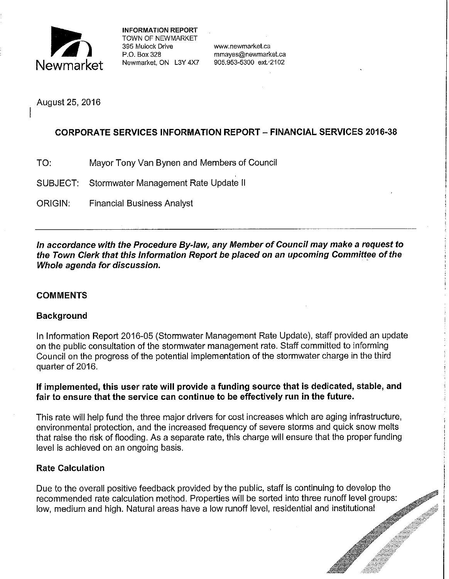

**INFORMATION REPORT**  TOWN OF NEWMARKET 395 Mulock Drive www.newmarket.ca

August 25, 2016

## **CORPORATE SERVICES INFORMATION REPORT- FINANCIAL SERVICES 2016-38**

- TO: Mayor Tony Van Bynen and Members of Council
- SUBJECT: Stormwater Management Rate Update II
- ORIGIN: Financial Business Analyst

**In accordance with the Procedure By-law, any Member of Council may make a request to the Town Clerk that this Information Report be placed on an upcoming Committee of the Whole agenda for discussion.** 

## **COMMENTS**

## **Background**

In Information Report 2016-05 (Stormwater Management Rate Update), staff provided an update on the public consultation of the stormwater management rate. Staff committed to informing Council on the progress of the potential implementation of the stormwater charge in the third quarter of 2016.

### **If implemented, this user rate will provide a funding source that is dedicated, stable, and fair to ensure that the service can continue to be effectively run in the future.**

This rate will help fund the three major drivers for cost increases which are aging infrastructure, environmental protection, and the increased frequency of severe storms and quick snow melts that raise the risk of flooding. As a separate rate, this charge will ensure that the proper funding level is achieved on an ongoing basis.

## **Rate Calculation**

Due to the overall positive feedback provided by the public, staff is continuing to develop the recommended rate calculation method. Properties will be sorted into three runoff level groups: low, medium and high. Natural areas have a low runoff level, residential and institutional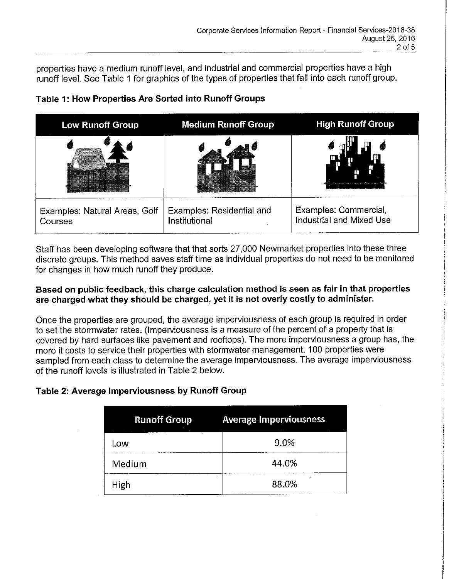properties have a medium runoff level, and industrial and commercial properties have a high runoff level. See Table 1 for graphics of the types of properties that fall into each runoff group.

| <b>Low Runoff Group</b>                                                                                                                                                                                                                                                                                                                                                                                                                                                                                  | <b>Medium Runoff Group</b>                 | <b>High Runoff Group</b>                                                                                        |
|----------------------------------------------------------------------------------------------------------------------------------------------------------------------------------------------------------------------------------------------------------------------------------------------------------------------------------------------------------------------------------------------------------------------------------------------------------------------------------------------------------|--------------------------------------------|-----------------------------------------------------------------------------------------------------------------|
| œ<br>A 23 MARCH 2004 2003 - 125 CAME ALACH VOLA 3 AN AMARAM<br>and announcement and provided to<br>The stage is help been wanted that the second contract of the second second second second second second second second second second second second second second second second second second second second second second second<br>with the community reacting to an evening<br>Mars when mango is an even share country consideration.<br>consideration was an on order of the ordinary distinguished |                                            | the active state case and consideration of the state of the state of the state of the state of the state of the |
| Examples: Natural Areas, Golf<br>Courses                                                                                                                                                                                                                                                                                                                                                                                                                                                                 | Examples: Residential and<br>Institutional | Examples: Commercial,<br>Industrial and Mixed Use                                                               |

# **Table 1: How Properties Are Sorted into Runoff Groups**

Staff has been developing software that that sorts 27,000 Newmarket properties into these three discrete groups. This method saves staff time as individual properties do not need to be monitored for changes in how much runoff they produce.

### **Based on public feedback, this charge calculation method is seen as fair in that properties are charged what they should be charged, yet it is not overly costly to administer.**

Once the properties are grouped, the average imperviousness of each group is required in order to set the stormwater rates. (Imperviousness is a measure of the percent of a property that is covered by hard surfaces like pavement and rooftops). The more imperviousness a group has, the more it costs to service their properties with stormwater management. 100 properties were sampled from each class to determine the average imperviousness. The average imperviousness of the runoff levels is illustrated in Table 2 below.

# **Table 2: Average Imperviousness by Runoff Group**

| <b>Runoff Group</b> | <b>Average Imperviousness</b> |  |  |
|---------------------|-------------------------------|--|--|
| Low                 | 9.0%                          |  |  |
| Medium              | 44.0%                         |  |  |
| High                | 88.0%                         |  |  |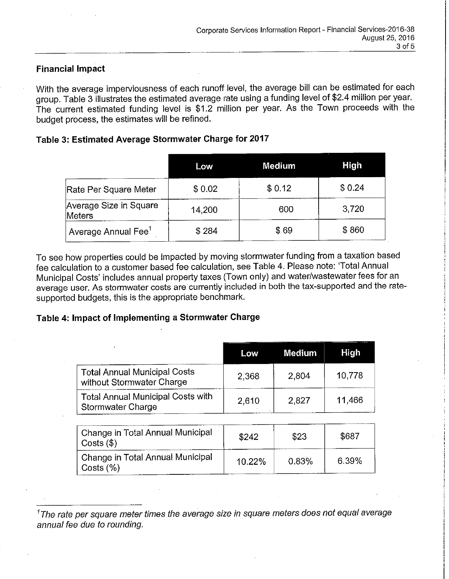#### **Financial Impact**

With the average imperviousness of each runoff level, the average bill can be estimated for each group. Table 3 illustrates the estimated average rate using a funding level of \$2.4 million per year. The current estimated funding level is \$1.2 million per year. As the Town proceeds with the budget process, the estimates will be refined.

#### **Table 3: Estimated Average Stormwater Charge for 2017**

|                                  | Low    | <b>Medium</b> | <b>High</b> |
|----------------------------------|--------|---------------|-------------|
| Rate Per Square Meter            | \$0.02 | \$0.12        | \$0.24      |
| Average Size in Square<br>Meters | 14.200 | 600           | 3,720       |
| Average Annual Fee $^1$          | \$284  | \$69          | \$860       |

To see how properties could be impacted by moving stormwater funding from a taxation based fee calculation to a customer based fee calculation, see Table 4. Please note: 'Total Annual Municipal Costs' includes annual property taxes (Town only) and water/wastewater fees for an average user. As stormwater costs are currently included in both the tax-supported and the ratesupported budgets, this is the appropriate benchmark.

#### **Table 4: Impact of Implementing a Stormwater Charge**

| mpact of implementing a Stormwater Unarge                        |        |               |             |
|------------------------------------------------------------------|--------|---------------|-------------|
|                                                                  | Low    | <b>Medium</b> | <b>High</b> |
| <b>Total Annual Municipal Costs</b><br>without Stormwater Charge | 2,368  | 2,804         | 10,778      |
| <b>Total Annual Municipal Costs with</b><br>Stormwater Charge    | 2,610  | 2,827         | 11,466      |
| Change in Total Annual Municipal<br>$Costs$ (\$)                 | \$242  | \$23          | \$687       |
| Change in Total Annual Municipal<br>Costs $(\% )$                | 10.22% | 0.83%         | 6.39%       |

*<sup>1</sup>*The rate per square meter times the average size in square meters does not equal average annual fee due to rounding.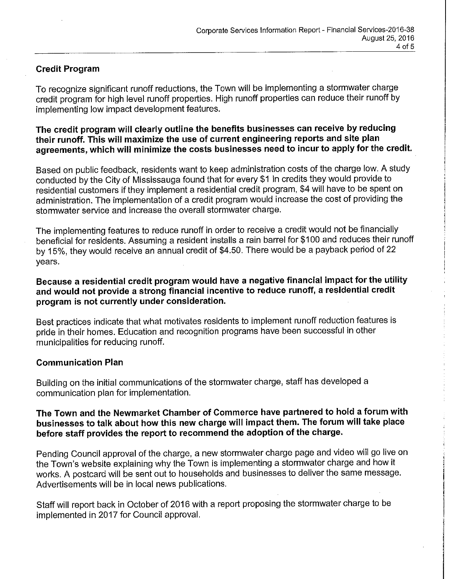## **Credit Program**

To recognize significant runoff reductions, the Town will be implementing a stormwater charge credit program for high level runoff properties. High runoff properties can reduce their runoff by implementing low impact development features.

**The credit program will clearly outline the benefits businesses can receive by reducing their runoff. This will maximize the use of current engineering reports and site plan agreements, which will minimize the costs businesses need to incur to apply for the credit.** 

Based on public feedback, residents want to keep administration costs of the charge low. A study conducted by the City of Mississauga found that for every \$1 in credits they would provide to residential customers if they implement a residential credit program, \$4 will have to be spent on administration. The implementation of a credit program would increase the cost of providing the stormwater service and increase the overall stormwater charge.

The implementing features to reduce runoff in order to receive a credit would not be financially beneficial for residents. Assuming a resident installs a rain barrel for \$100 and reduces their runoff by 15%, they would receive an annual credit of \$4.50. There would be a payback period of 22 years.

**Because a residential credit program would have a negative financial impact for the utility and would not provide a strong financial incentive to reduce runoff, a residential credit program is not currently under consideration.** 

Best practices indicate that what motivates residents to implement runoff reduction features is pride in their homes. Education and recognition programs have been successful in other municipalities for reducing runoff.

## **Communication Plan**

Building on the initial communications of the stormwater charge, staff has developed a communication plan for implementation.

### **The Town and the Newmarket Chamber of Commerce have partnered to hold a forum with businesses to talk about how this new charge will impact them. The forum will take place before staff provides the report to recommend the adoption of the charge.**

Pending Council approval of the charge, a new stormwater charge page and video will go live on the Town's website explaining why the Town is implementing a stormwater charge and how it works. A postcard will be sent out to households and businesses to deliver the same message. Advertisements will be in local news publications.

Staff will report back in October of 2016 with a report proposing the stormwater charge to be implemented in 2017 for Council approval.